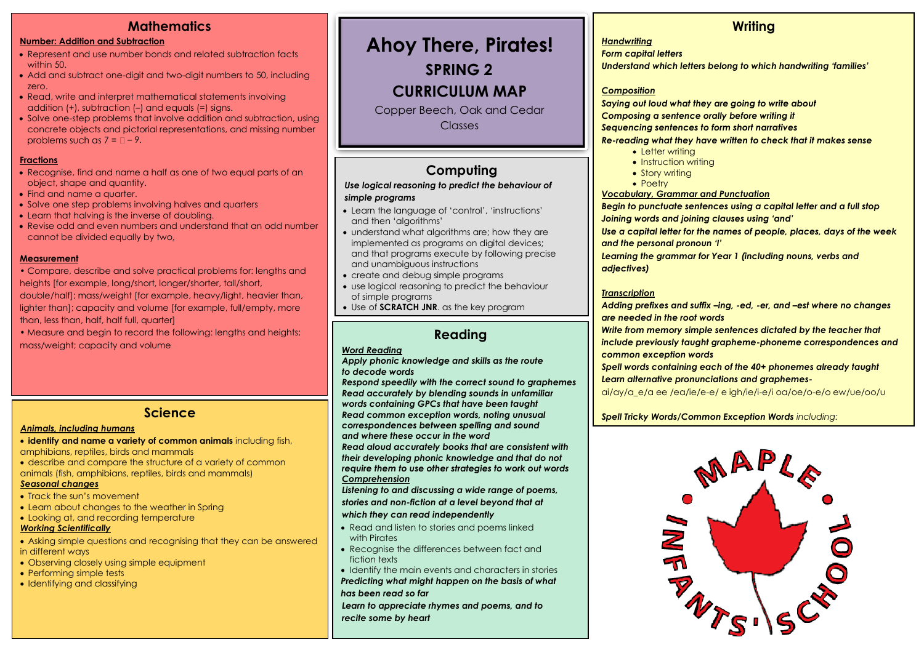# **Mathematics**

#### **Number: Addition and Subtraction**

- Represent and use number bonds and related subtraction facts within 50.
- Add and subtract one-digit and two-digit numbers to 50, including zero.
- Read, write and interpret mathematical statements involving addition (+), subtraction (–) and equals (=) signs.
- Solve one-step problems that involve addition and subtraction, using concrete objects and pictorial representations, and missing number problems such as  $7 = 2 - 9$ .

#### **Fractions**

- Recognise, find and name a half as one of two equal parts of an object, shape and quantity.
- Find and name a quarter.
- Solve one step problems involving halves and quarters
- Learn that halving is the inverse of doubling.
- Revise odd and even numbers and understand that an odd number cannot be divided equally by two**.**

#### **Measurement**

- Compare, describe and solve practical problems for: lengths and heights [for example, long/short, longer/shorter, tall/short,
- double/half]; mass/weight [for example, heavy/light, heavier than, lighter than]; capacity and volume [for example, full/empty, more than, less than, half, half full, quarter]
- Measure and begin to record the following: lengths and heights; mass/weight; capacity and volume

### **Science**

#### *Animals, including humans*

- **identify and name a variety of common animals** including fish, amphibians, reptiles, birds and mammals
- describe and compare the structure of a variety of common animals (fish, amphibians, reptiles, birds and mammals)

#### *Seasonal changes*

- Track the sun's movement
- Learn about changes to the weather in Spring
- Looking at, and recording temperature

#### *Working Scientifically*

- Asking simple questions and recognising that they can be answered in different ways
- Observing closely using simple equipment
- Performing simple tests
- Identifying and classifying

# **Ahoy There, Pirates!**

**SPRING 2**

# **CURRICULUM MAP**

Copper Beech, Oak and Cedar **Classes** 

# **Computing**

#### *Use logical reasoning to predict the behaviour of simple programs*

- Learn the language of 'control', 'instructions' and then 'algorithms'
- understand what algorithms are; how they are implemented as programs on digital devices; and that programs execute by following precise and unambiguous instructions
- create and debug simple programs
- use logical reasoning to predict the behaviour of simple programs
- Use of **SCRATCH JNR**. as the key program

## **Reading**

#### *Word Reading*

*Apply phonic knowledge and skills as the route to decode words*

*Respond speedily with the correct sound to graphemes Read accurately by blending sounds in unfamiliar words containing GPCs that have been taught Read common exception words, noting unusual correspondences between spelling and sound and where these occur in the word*

*Read aloud accurately books that are consistent with their developing phonic knowledge and that do not require them to use other strategies to work out words Comprehension*

*Listening to and discussing a wide range of poems,* 

*stories and non-fiction at a level beyond that at* 

#### *which they can read independently*

- Read and listen to stories and poems linked with Pirates
- Recognise the differences between fact and fiction texts
- Identify the main events and characters in stories *Predicting what might happen on the basis of what has been read so far*

*Learn to appreciate rhymes and poems, and to recite some by heart*

# **Writing**

#### *Handwriting*

*Form capital letters*

*Understand which letters belong to which handwriting 'families'*

#### *Composition*

*Saying out loud what they are going to write about Composing a sentence orally before writing it Sequencing sentences to form short narratives*

#### *Re-reading what they have written to check that it makes sense*

- Letter writing
- Instruction writing
- Story writing
- Poetry

#### *Vocabulary, Grammar and Punctuation*

*Begin to punctuate sentences using a capital letter and a full stop Joining words and joining clauses using 'and'*

*Use a capital letter for the names of people, places, days of the week and the personal pronoun 'I'*

*Learning the grammar for Year 1 (including nouns, verbs and adjectives)*

#### *Transcription*

*Adding prefixes and suffix –ing, -ed, -er, and –est where no changes are needed in the root words*

*Write from memory simple sentences dictated by the teacher that include previously taught grapheme-phoneme correspondences and common exception words*

*Spell words containing each of the 40+ phonemes already taught Learn alternative pronunciations and graphemes-*

ai/ay/a\_e/a ee /ea/ie/e-e/ e igh/ie/i-e/i oa/oe/o-e/o ew/ue/oo/u

*Spell Tricky Words/Common Exception Words including:*

friend, house, school, don't, old